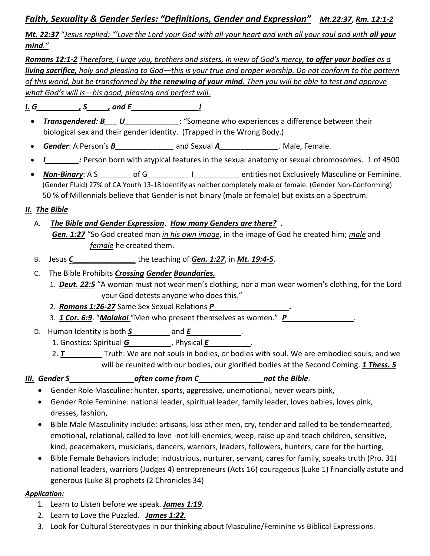# *Faith, Sexuality & Gender Series: "Definitions, Gender and Expression" Mt.22:37*, *Rm. 12:1-2*

*Mt. 22:37* "*Jesus replied: "'Love the Lord your God with all your heart and with all your soul and with all your mind."*

*Romans 12:1-2 Therefore, I urge you, brothers and sisters, in view of God's mercy, to offer your bodies as a living sacrifice, holy and pleasing to God—this is your true and proper worship. Do not conform to the pattern of this world, but be transformed by the renewing of your mind. Then you will be able to test and approve what God's will is—his good, pleasing and perfect will.*

*I. G\_\_\_\_\_\_\_\_\_\_, S\_\_\_\_\_, and E\_\_\_\_\_\_\_\_\_\_\_\_\_\_\_\_!*

- *Transgendered: B\_\_\_ U\_\_\_\_\_\_\_\_\_\_\_\_*: "Someone who experiences a difference between their biological sex and their gender identity. (Trapped in the Wrong Body.)
- *Gender*: A Person's *B\_\_\_\_\_\_\_\_\_\_\_\_\_\_* and Sexual *A\_\_\_\_\_\_\_\_\_\_\_\_\_\_*. Male, Female.
- *I\_\_\_\_\_\_\_\_:* Person born with atypical features in the sexual anatomy or sexual chromosomes. 1 of 4500
- **Non-Binary**: A S of G The Masculine or Feminine. (Gender Fluid) 27% of CA Youth 13-18 Identify as neither completely male or female. (Gender Non-Conforming) 50 % of Millennials believe that Gender is not binary (male or female) but exists on a Spectrum.

## *II. The Bible*

- A. *The Bible and Gender Expression*. *How many Genders are there?* . *Gen. 1:27* "So God created man *in his own image*, in the image of God he created him; *male* and *female* he created them.
- B. Jesus *C\_\_\_\_\_\_\_\_\_\_\_\_\_\_\_* the teaching of *Gen. 1:27*, in *Mt. 19:4-5*.
- C. The Bible Prohibits *Crossing Gender Boundaries.*
	- 1. *Deut. 22:5* "A woman must not wear men's clothing, nor a man wear women's clothing, for the Lord your God detests anyone who does this."
	- 2. *Romans 1:26-27* Same Sex Sexual Relations P
	- 3. 1 **Cor. 6:9.** "Malakoi "Men who present themselves as women." **P\_**
- D. Human Identity is both *S\_\_\_\_\_\_\_\_\_* and *E\_\_\_\_\_\_\_\_\_\_\_\_*.
	- 1. Gnostics: Spiritual *G\_\_\_\_\_\_\_\_\_\_*, Physical *E\_\_\_\_\_\_\_\_\_\_*.
	- 2. **T\_\_\_\_\_\_\_\_\_** Truth: We are not souls in bodies, or bodies with soul. We are embodied souls, and we will be reunited with our bodies, our glorified bodies at the Second Coming. *1 Thess. 5*

*III. Gender S\_\_\_\_\_\_\_\_\_\_\_\_\_\_\_ often come from C\_\_\_\_\_\_\_\_\_\_\_\_\_\_\_ not the Bible*.

- Gender Role Masculine: hunter, sports, aggressive, unemotional, never wears pink,
- Gender Role Feminine: national leader, spiritual leader, family leader, loves babies, loves pink, dresses, fashion,
- Bible Male Masculinity include: artisans, kiss other men, cry, tender and called to be tenderhearted, emotional, relational, called to love -not kill-enemies, weep, raise up and teach children, sensitive, kind, peacemakers, musicians, dancers, warriors, leaders, followers, hunters, care for the hurting,
- Bible Female Behaviors include: industrious, nurturer, servant, cares for family, speaks truth (Pro. 31) national leaders, warriors (Judges 4) entrepreneurs (Acts 16) courageous (Luke 1) financially astute and generous (Luke 8) prophets (2 Chronicles 34)

## *Application:*

- 1. Learn to Listen before we speak. *James 1:19*.
- 2. Learn to Love the Puzzled. *James 1:22.*
- 3. Look for Cultural Stereotypes in our thinking about Masculine/Feminine vs Biblical Expressions.